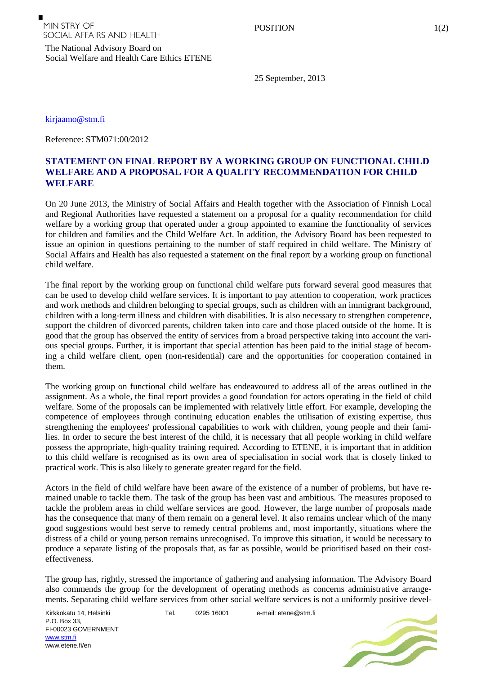The National Advisory Board on

Social Welfare and Health Care Ethics ETENE

25 September, 2013

[kirjaamo@stm.fi](mailto:kirjaamo@stm.fi)

Reference: STM071:00/2012

## **STATEMENT ON FINAL REPORT BY A WORKING GROUP ON FUNCTIONAL CHILD WELFARE AND A PROPOSAL FOR A QUALITY RECOMMENDATION FOR CHILD WELFARE**

On 20 June 2013, the Ministry of Social Affairs and Health together with the Association of Finnish Local and Regional Authorities have requested a statement on a proposal for a quality recommendation for child welfare by a working group that operated under a group appointed to examine the functionality of services for children and families and the Child Welfare Act. In addition, the Advisory Board has been requested to issue an opinion in questions pertaining to the number of staff required in child welfare. The Ministry of Social Affairs and Health has also requested a statement on the final report by a working group on functional child welfare.

The final report by the working group on functional child welfare puts forward several good measures that can be used to develop child welfare services. It is important to pay attention to cooperation, work practices and work methods and children belonging to special groups, such as children with an immigrant background, children with a long-term illness and children with disabilities. It is also necessary to strengthen competence, support the children of divorced parents, children taken into care and those placed outside of the home. It is good that the group has observed the entity of services from a broad perspective taking into account the various special groups. Further, it is important that special attention has been paid to the initial stage of becoming a child welfare client, open (non-residential) care and the opportunities for cooperation contained in them.

The working group on functional child welfare has endeavoured to address all of the areas outlined in the assignment. As a whole, the final report provides a good foundation for actors operating in the field of child welfare. Some of the proposals can be implemented with relatively little effort. For example, developing the competence of employees through continuing education enables the utilisation of existing expertise, thus strengthening the employees' professional capabilities to work with children, young people and their families. In order to secure the best interest of the child, it is necessary that all people working in child welfare possess the appropriate, high-quality training required. According to ETENE, it is important that in addition to this child welfare is recognised as its own area of specialisation in social work that is closely linked to practical work. This is also likely to generate greater regard for the field.

Actors in the field of child welfare have been aware of the existence of a number of problems, but have remained unable to tackle them. The task of the group has been vast and ambitious. The measures proposed to tackle the problem areas in child welfare services are good. However, the large number of proposals made has the consequence that many of them remain on a general level. It also remains unclear which of the many good suggestions would best serve to remedy central problems and, most importantly, situations where the distress of a child or young person remains unrecognised. To improve this situation, it would be necessary to produce a separate listing of the proposals that, as far as possible, would be prioritised based on their costeffectiveness.

The group has, rightly, stressed the importance of gathering and analysing information. The Advisory Board also commends the group for the development of operating methods as concerns administrative arrangements. Separating child welfare services from other social welfare services is not a uniformly positive devel-

Kirkkokatu 14, Helsinki P.O. Box 33, FI-00023 GOVERNMENT [www.stm.fi](http://www.stm.fi/) www.etene.fi/en

Tel. 0295 16001 e-mail: etene@stm.fi